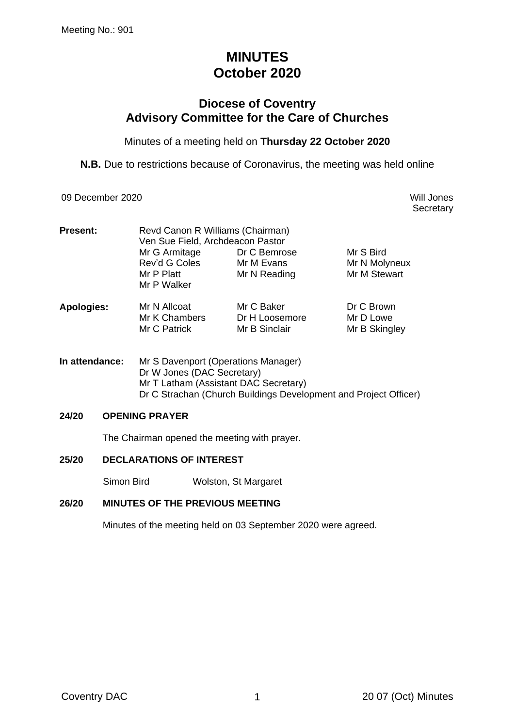# **MINUTES October 2020**

## **Diocese of Coventry Advisory Committee for the Care of Churches**

Minutes of a meeting held on **Thursday 22 October 2020**

**N.B.** Due to restrictions because of Coronavirus, the meeting was held online

09 December 2020 Will Jones

**Secretary** 

| <b>Present:</b>   | Revd Canon R Williams (Chairman)<br>Ven Sue Field, Archdeacon Pastor |                                 |                            |  |  |
|-------------------|----------------------------------------------------------------------|---------------------------------|----------------------------|--|--|
|                   | Mr G Armitage                                                        | Dr C Bemrose                    | Mr S Bird                  |  |  |
|                   | Rev'd G Coles                                                        | Mr M Evans                      | Mr N Molyneux              |  |  |
|                   | Mr P Platt                                                           | Mr N Reading                    | Mr M Stewart               |  |  |
|                   | Mr P Walker                                                          |                                 |                            |  |  |
| <b>Apologies:</b> | Mr N Allcoat                                                         | Mr C Baker                      | Dr C Brown                 |  |  |
|                   | Mr K Chambers<br>Mr C Patrick                                        | Dr H Loosemore<br>Mr B Sinclair | Mr D Lowe<br>Mr B Skingley |  |  |

**In attendance:** Mr S Davenport (Operations Manager) Dr W Jones (DAC Secretary) Mr T Latham (Assistant DAC Secretary) Dr C Strachan (Church Buildings Development and Project Officer)

#### **24/20 OPENING PRAYER**

The Chairman opened the meeting with prayer.

## **25/20 DECLARATIONS OF INTEREST**

Simon Bird Wolston, St Margaret

## **26/20 MINUTES OF THE PREVIOUS MEETING**

Minutes of the meeting held on 03 September 2020 were agreed.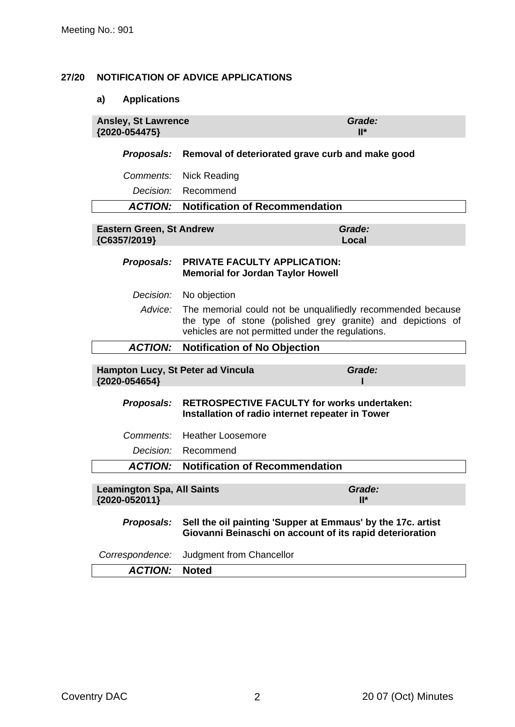## **27/20 NOTIFICATION OF ADVICE APPLICATIONS**

## **a) Applications**

| <b>Ansley, St Lawrence</b><br>{2020-054475}        |                                                                                                                                                                                 | Grade:<br>$II^*$              |  |
|----------------------------------------------------|---------------------------------------------------------------------------------------------------------------------------------------------------------------------------------|-------------------------------|--|
| Proposals:                                         | Removal of deteriorated grave curb and make good                                                                                                                                |                               |  |
| Comments:                                          | <b>Nick Reading</b>                                                                                                                                                             |                               |  |
| Decision:                                          | Recommend                                                                                                                                                                       |                               |  |
| <b>ACTION:</b>                                     | <b>Notification of Recommendation</b>                                                                                                                                           |                               |  |
| <b>Eastern Green, St Andrew</b><br>{C6357/2019}    |                                                                                                                                                                                 | Grade:<br>Local               |  |
| Proposals:                                         | <b>PRIVATE FACULTY APPLICATION:</b><br><b>Memorial for Jordan Taylor Howell</b>                                                                                                 |                               |  |
| Decision:                                          | No objection                                                                                                                                                                    |                               |  |
| Advice:                                            | The memorial could not be unqualifiedly recommended because<br>the type of stone (polished grey granite) and depictions of<br>vehicles are not permitted under the regulations. |                               |  |
| <b>ACTION:</b>                                     | <b>Notification of No Objection</b>                                                                                                                                             |                               |  |
| Hampton Lucy, St Peter ad Vincula<br>{2020-054654} |                                                                                                                                                                                 | Grade:                        |  |
| Proposals:                                         | <b>RETROSPECTIVE FACULTY for works undertaken:</b><br>Installation of radio internet repeater in Tower                                                                          |                               |  |
| Comments:                                          | <b>Heather Loosemore</b>                                                                                                                                                        |                               |  |
| Decision:                                          | Recommend                                                                                                                                                                       |                               |  |
| <b>ACTION:</b>                                     | <b>Notification of Recommendation</b>                                                                                                                                           |                               |  |
| <b>Leamington Spa, All Saints</b><br>{2020-052011} |                                                                                                                                                                                 | Grade:<br>$\mathsf{II}^\star$ |  |
| Proposals:                                         | Sell the oil painting 'Supper at Emmaus' by the 17c. artist<br>Giovanni Beinaschi on account of its rapid deterioration                                                         |                               |  |
| Correspondence:                                    | Judgment from Chancellor                                                                                                                                                        |                               |  |
| <b>ACTION:</b>                                     | <b>Noted</b>                                                                                                                                                                    |                               |  |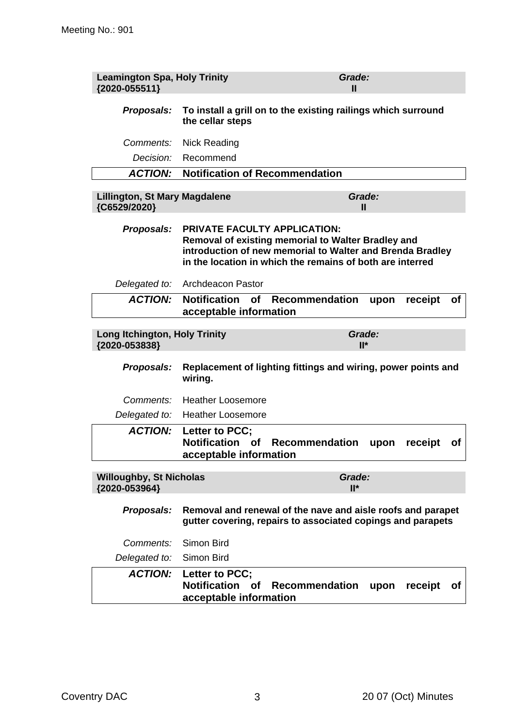| <b>Leamington Spa, Holy Trinity</b><br>{2020-055511}  | Grade:<br>Ш                                                                                                                                                                                                         |  |  |  |
|-------------------------------------------------------|---------------------------------------------------------------------------------------------------------------------------------------------------------------------------------------------------------------------|--|--|--|
| Proposals:                                            | To install a grill on to the existing railings which surround<br>the cellar steps                                                                                                                                   |  |  |  |
| Comments:                                             | <b>Nick Reading</b>                                                                                                                                                                                                 |  |  |  |
| Decision:                                             | Recommend                                                                                                                                                                                                           |  |  |  |
| <b>ACTION:</b>                                        | <b>Notification of Recommendation</b>                                                                                                                                                                               |  |  |  |
| <b>Lillington, St Mary Magdalene</b><br>{C6529/2020}  | Grade:<br>Ш                                                                                                                                                                                                         |  |  |  |
| Proposals:                                            | <b>PRIVATE FACULTY APPLICATION:</b><br>Removal of existing memorial to Walter Bradley and<br>introduction of new memorial to Walter and Brenda Bradley<br>in the location in which the remains of both are interred |  |  |  |
| Delegated to:                                         | <b>Archdeacon Pastor</b>                                                                                                                                                                                            |  |  |  |
| <b>ACTION:</b>                                        | <b>Notification</b><br><b>Recommendation</b><br>receipt<br>of<br>upon<br>Οf<br>acceptable information                                                                                                               |  |  |  |
| <b>Long Itchington, Holy Trinity</b><br>{2020-053838} | Grade:<br>$II^*$                                                                                                                                                                                                    |  |  |  |
| <b>Proposals:</b>                                     | Replacement of lighting fittings and wiring, power points and<br>wiring.                                                                                                                                            |  |  |  |
| Comments:                                             | <b>Heather Loosemore</b>                                                                                                                                                                                            |  |  |  |
| Delegated to:                                         | <b>Heather Loosemore</b>                                                                                                                                                                                            |  |  |  |
|                                                       | <b>ACTION:</b> Letter to PCC;<br>Notification of<br><b>Recommendation</b><br>upon<br>receipt<br>Οf<br>acceptable information                                                                                        |  |  |  |
| <b>Willoughby, St Nicholas</b><br>{2020-053964}       | Grade:<br>$II^*$                                                                                                                                                                                                    |  |  |  |
| Proposals:                                            | Removal and renewal of the nave and aisle roofs and parapet<br>gutter covering, repairs to associated copings and parapets                                                                                          |  |  |  |
| Comments:                                             | Simon Bird                                                                                                                                                                                                          |  |  |  |
| Delegated to:                                         | Simon Bird                                                                                                                                                                                                          |  |  |  |
| <b>ACTION:</b>                                        | Letter to PCC;<br><b>Notification</b><br>Recommendation<br><b>of</b><br>receipt<br>upon<br><b>of</b><br>acceptable information                                                                                      |  |  |  |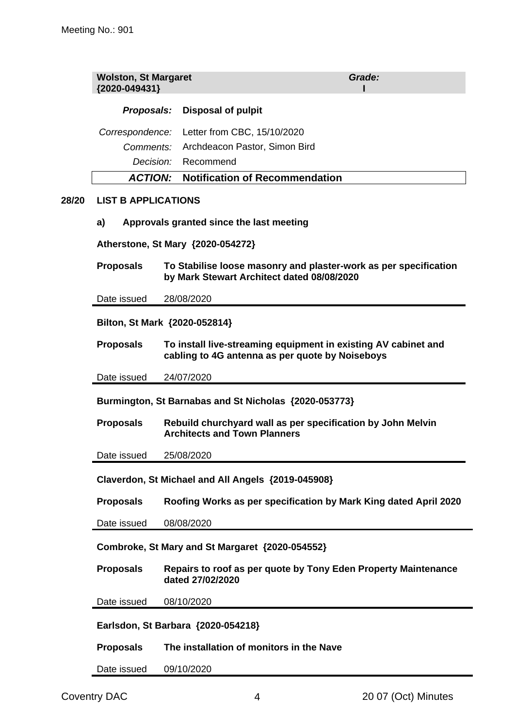|       | <b>Wolston, St Margaret</b><br>{2020-049431}                                                                                          | Grade:                                                                             |  |  |  |  |
|-------|---------------------------------------------------------------------------------------------------------------------------------------|------------------------------------------------------------------------------------|--|--|--|--|
|       | Proposals:                                                                                                                            | <b>Disposal of pulpit</b>                                                          |  |  |  |  |
|       | Correspondence:                                                                                                                       | Letter from CBC, 15/10/2020                                                        |  |  |  |  |
|       | Comments:                                                                                                                             | Archdeacon Pastor, Simon Bird                                                      |  |  |  |  |
|       | Decision:                                                                                                                             | Recommend                                                                          |  |  |  |  |
|       | <b>ACTION:</b>                                                                                                                        | <b>Notification of Recommendation</b>                                              |  |  |  |  |
| 28/20 | <b>LIST B APPLICATIONS</b>                                                                                                            |                                                                                    |  |  |  |  |
|       | Approvals granted since the last meeting<br>a)                                                                                        |                                                                                    |  |  |  |  |
|       |                                                                                                                                       | Atherstone, St Mary {2020-054272}                                                  |  |  |  |  |
|       | <b>Proposals</b><br>To Stabilise loose masonry and plaster-work as per specification<br>by Mark Stewart Architect dated 08/08/2020    |                                                                                    |  |  |  |  |
|       | Date issued                                                                                                                           | 28/08/2020                                                                         |  |  |  |  |
|       | Bilton, St Mark {2020-052814}                                                                                                         |                                                                                    |  |  |  |  |
|       | To install live-streaming equipment in existing AV cabinet and<br><b>Proposals</b><br>cabling to 4G antenna as per quote by Noiseboys |                                                                                    |  |  |  |  |
|       | 24/07/2020<br>Date issued                                                                                                             |                                                                                    |  |  |  |  |
|       | Burmington, St Barnabas and St Nicholas {2020-053773}                                                                                 |                                                                                    |  |  |  |  |
|       | Rebuild churchyard wall as per specification by John Melvin<br><b>Proposals</b><br><b>Architects and Town Planners</b>                |                                                                                    |  |  |  |  |
|       | Date issued                                                                                                                           | 25/08/2020                                                                         |  |  |  |  |
|       | Claverdon, St Michael and All Angels {2019-045908}                                                                                    |                                                                                    |  |  |  |  |
|       | <b>Proposals</b>                                                                                                                      | Roofing Works as per specification by Mark King dated April 2020                   |  |  |  |  |
|       | Date issued                                                                                                                           | 08/08/2020                                                                         |  |  |  |  |
|       | Combroke, St Mary and St Margaret {2020-054552}                                                                                       |                                                                                    |  |  |  |  |
|       | <b>Proposals</b>                                                                                                                      | Repairs to roof as per quote by Tony Eden Property Maintenance<br>dated 27/02/2020 |  |  |  |  |
|       | Date issued                                                                                                                           | 08/10/2020                                                                         |  |  |  |  |
|       | Earlsdon, St Barbara {2020-054218}                                                                                                    |                                                                                    |  |  |  |  |
|       | <b>Proposals</b>                                                                                                                      | The installation of monitors in the Nave                                           |  |  |  |  |

Date issued 09/10/2020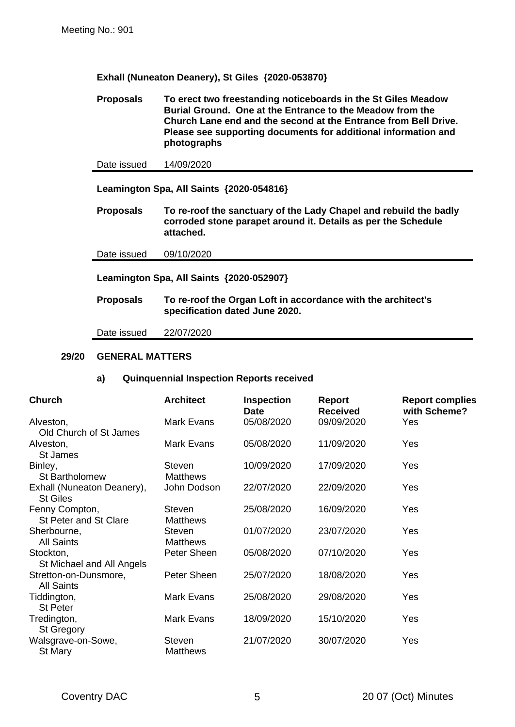**Exhall (Nuneaton Deanery), St Giles {2020-053870}**

**Proposals To erect two freestanding noticeboards in the St Giles Meadow Burial Ground. One at the Entrance to the Meadow from the Church Lane end and the second at the Entrance from Bell Drive. Please see supporting documents for additional information and photographs**

Date issued 14/09/2020

**Leamington Spa, All Saints {2020-054816}**

**Proposals To re-roof the sanctuary of the Lady Chapel and rebuild the badly corroded stone parapet around it. Details as per the Schedule attached.**

Date issued 09/10/2020

**Leamington Spa, All Saints {2020-052907}**

**Proposals To re-roof the Organ Loft in accordance with the architect's specification dated June 2020.**

Date issued 22/07/2020

#### **29/20 GENERAL MATTERS**

#### **a) Quinquennial Inspection Reports received**

| <b>Church</b>                                   | <b>Architect</b>                 | <b>Inspection</b><br><b>Date</b> | <b>Report</b><br><b>Received</b> | <b>Report complies</b><br>with Scheme? |
|-------------------------------------------------|----------------------------------|----------------------------------|----------------------------------|----------------------------------------|
| Alveston,                                       | Mark Evans                       | 05/08/2020                       | 09/09/2020                       | Yes                                    |
| Old Church of St James<br>Alveston,<br>St James | Mark Evans                       | 05/08/2020                       | 11/09/2020                       | Yes                                    |
| Binley,<br><b>St Bartholomew</b>                | <b>Steven</b><br><b>Matthews</b> | 10/09/2020                       | 17/09/2020                       | Yes                                    |
| Exhall (Nuneaton Deanery),<br><b>St Giles</b>   | John Dodson                      | 22/07/2020                       | 22/09/2020                       | Yes                                    |
| Fenny Compton,<br><b>St Peter and St Clare</b>  | <b>Steven</b><br><b>Matthews</b> | 25/08/2020                       | 16/09/2020                       | Yes                                    |
| Sherbourne,<br><b>All Saints</b>                | <b>Steven</b><br><b>Matthews</b> | 01/07/2020                       | 23/07/2020                       | Yes                                    |
| Stockton,<br>St Michael and All Angels          | Peter Sheen                      | 05/08/2020                       | 07/10/2020                       | Yes                                    |
| Stretton-on-Dunsmore,<br><b>All Saints</b>      | Peter Sheen                      | 25/07/2020                       | 18/08/2020                       | Yes                                    |
| Tiddington,<br><b>St Peter</b>                  | Mark Evans                       | 25/08/2020                       | 29/08/2020                       | Yes                                    |
| Tredington,<br><b>St Gregory</b>                | Mark Evans                       | 18/09/2020                       | 15/10/2020                       | Yes                                    |
| Walsgrave-on-Sowe,<br>St Mary                   | <b>Steven</b><br><b>Matthews</b> | 21/07/2020                       | 30/07/2020                       | Yes                                    |